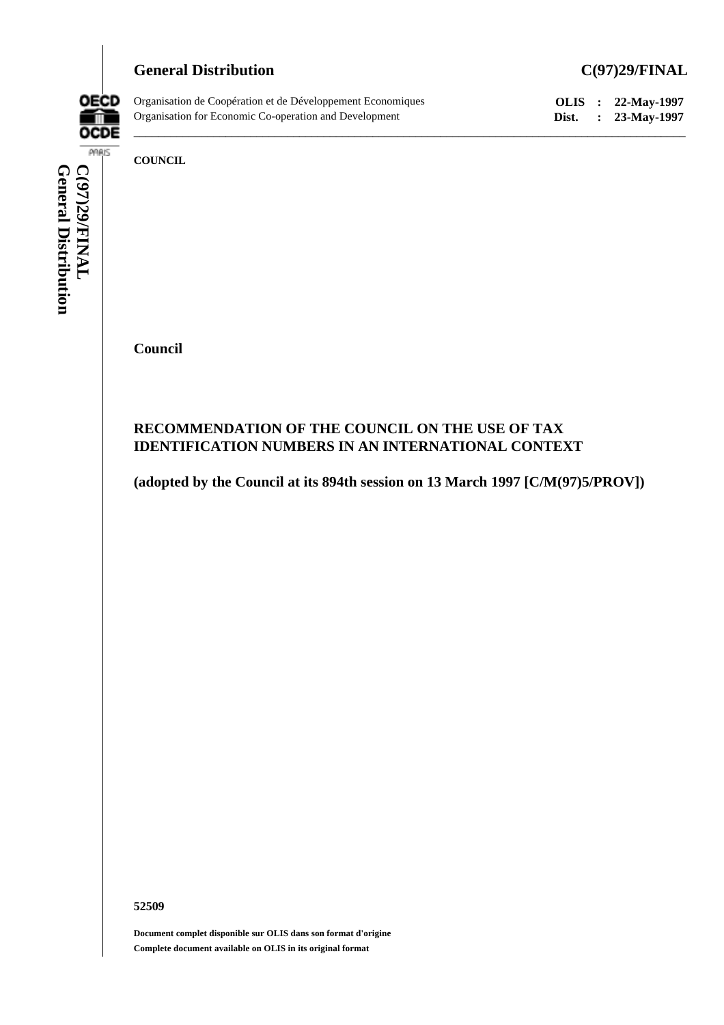# General Distribution C(97)29/FINAL



Organisation de Coopération et de Développement Economiques **OLIS : 22-May-1997** Organisation for Economic Co-operation and Development **Dist. : 23-May-1997**

**COUNCIL**

**Council**

# **RECOMMENDATION OF THE COUNCIL ON THE USE OF TAX IDENTIFICATION NUMBERS IN AN INTERNATIONAL CONTEXT**

**(adopted by the Council at its 894th session on 13 March 1997 [C/M(97)5/PROV])**

 $\_$  ,  $\_$  ,  $\_$  ,  $\_$  ,  $\_$  ,  $\_$  ,  $\_$  ,  $\_$  ,  $\_$  ,  $\_$  ,  $\_$  ,  $\_$  ,  $\_$  ,  $\_$  ,  $\_$  ,  $\_$  ,  $\_$  ,  $\_$  ,  $\_$  ,  $\_$  ,  $\_$  ,  $\_$  ,  $\_$  ,  $\_$  ,  $\_$  ,  $\_$  ,  $\_$  ,  $\_$  ,  $\_$  ,  $\_$  ,  $\_$  ,  $\_$  ,  $\_$  ,  $\_$  ,  $\_$  ,  $\_$  ,  $\_$  ,

**52509**

**Document complet disponible sur OLIS dans son format d'origine Complete document available on OLIS in its original format**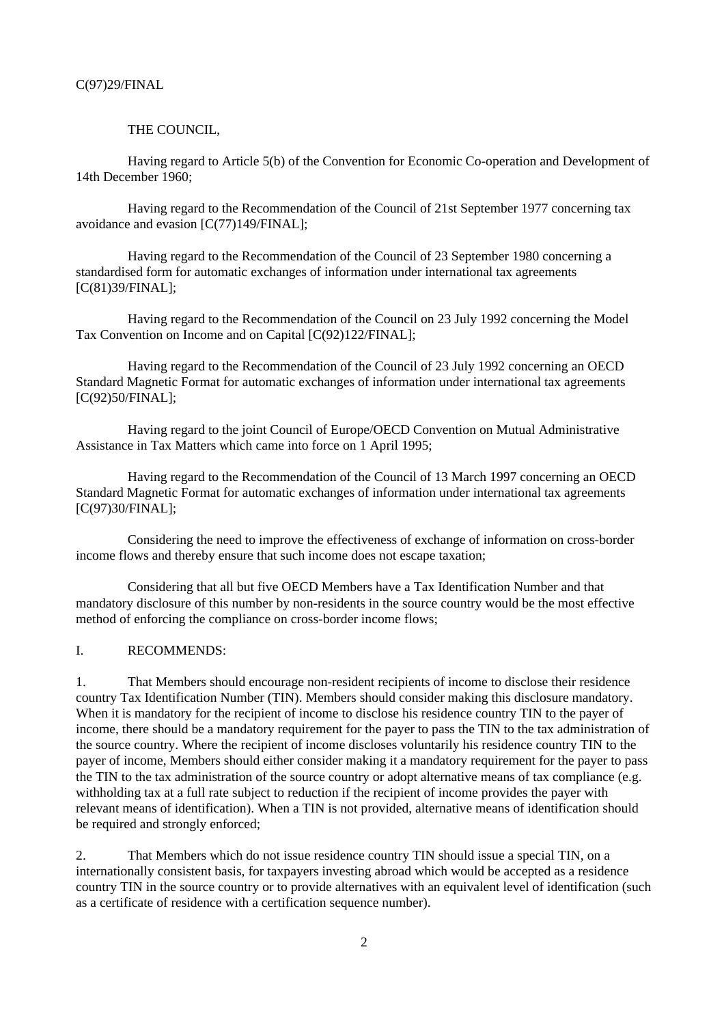#### THE COUNCIL,

Having regard to Article 5(b) of the Convention for Economic Co-operation and Development of 14th December 1960;

Having regard to the Recommendation of the Council of 21st September 1977 concerning tax avoidance and evasion [C(77)149/FINAL];

Having regard to the Recommendation of the Council of 23 September 1980 concerning a standardised form for automatic exchanges of information under international tax agreements [C(81)39/FINAL];

Having regard to the Recommendation of the Council on 23 July 1992 concerning the Model Tax Convention on Income and on Capital [C(92)122/FINAL];

Having regard to the Recommendation of the Council of 23 July 1992 concerning an OECD Standard Magnetic Format for automatic exchanges of information under international tax agreements [C(92)50/FINAL];

Having regard to the joint Council of Europe/OECD Convention on Mutual Administrative Assistance in Tax Matters which came into force on 1 April 1995;

Having regard to the Recommendation of the Council of 13 March 1997 concerning an OECD Standard Magnetic Format for automatic exchanges of information under international tax agreements [C(97)30/FINAL];

Considering the need to improve the effectiveness of exchange of information on cross-border income flows and thereby ensure that such income does not escape taxation;

Considering that all but five OECD Members have a Tax Identification Number and that mandatory disclosure of this number by non-residents in the source country would be the most effective method of enforcing the compliance on cross-border income flows;

### I. RECOMMENDS:

1. That Members should encourage non-resident recipients of income to disclose their residence country Tax Identification Number (TIN). Members should consider making this disclosure mandatory. When it is mandatory for the recipient of income to disclose his residence country TIN to the payer of income, there should be a mandatory requirement for the payer to pass the TIN to the tax administration of the source country. Where the recipient of income discloses voluntarily his residence country TIN to the payer of income, Members should either consider making it a mandatory requirement for the payer to pass the TIN to the tax administration of the source country or adopt alternative means of tax compliance (e.g. withholding tax at a full rate subject to reduction if the recipient of income provides the payer with relevant means of identification). When a TIN is not provided, alternative means of identification should be required and strongly enforced;

2. That Members which do not issue residence country TIN should issue a special TIN, on a internationally consistent basis, for taxpayers investing abroad which would be accepted as a residence country TIN in the source country or to provide alternatives with an equivalent level of identification (such as a certificate of residence with a certification sequence number).